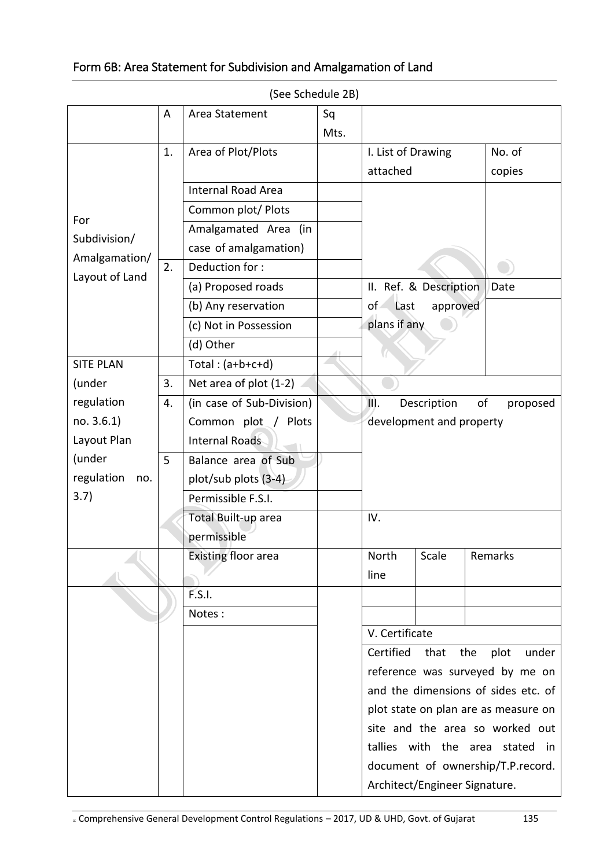## Form 6B: Area Statement for Subdivision and Amalgamation of Land

|                                                        | A  | Area Statement             | Sq<br>Mts. |                                                                                                                |                        |         |  |  |
|--------------------------------------------------------|----|----------------------------|------------|----------------------------------------------------------------------------------------------------------------|------------------------|---------|--|--|
|                                                        |    | Area of Plot/Plots         |            |                                                                                                                |                        | No. of  |  |  |
|                                                        | 1. |                            |            | I. List of Drawing                                                                                             |                        |         |  |  |
|                                                        |    |                            |            | attached                                                                                                       |                        | copies  |  |  |
|                                                        |    | <b>Internal Road Area</b>  |            |                                                                                                                |                        |         |  |  |
| For<br>Subdivision/<br>Amalgamation/<br>Layout of Land |    | Common plot/ Plots         |            |                                                                                                                |                        |         |  |  |
|                                                        |    | Amalgamated Area (in       |            |                                                                                                                |                        |         |  |  |
|                                                        |    | case of amalgamation)      |            |                                                                                                                |                        |         |  |  |
|                                                        | 2. | Deduction for:             |            |                                                                                                                |                        |         |  |  |
|                                                        |    | (a) Proposed roads         |            |                                                                                                                | II. Ref. & Description | Date    |  |  |
|                                                        |    | (b) Any reservation        |            | of.<br>approved<br>Last                                                                                        |                        |         |  |  |
|                                                        |    | (c) Not in Possession      |            | plans if any                                                                                                   |                        |         |  |  |
|                                                        |    | (d) Other                  |            |                                                                                                                |                        |         |  |  |
| <b>SITE PLAN</b>                                       |    | Total: $(a+b+c+d)$         |            |                                                                                                                |                        |         |  |  |
| (under                                                 | 3. | Net area of plot (1-2)     |            |                                                                                                                |                        |         |  |  |
| regulation                                             | 4. | (in case of Sub-Division)  |            | of<br>III.<br>Description<br>proposed                                                                          |                        |         |  |  |
| no. 3.6.1)                                             |    | Common plot / Plots        |            | development and property                                                                                       |                        |         |  |  |
| Layout Plan                                            |    | <b>Internal Roads</b>      |            |                                                                                                                |                        |         |  |  |
| (under                                                 | 5  | Balance area of Sub        |            |                                                                                                                |                        |         |  |  |
| regulation<br>no.                                      |    | plot/sub plots (3-4)       |            |                                                                                                                |                        |         |  |  |
| 3.7)                                                   |    | Permissible F.S.I.         |            |                                                                                                                |                        |         |  |  |
|                                                        |    | Total Built-up area        |            | IV.                                                                                                            |                        |         |  |  |
|                                                        |    | permissible                |            |                                                                                                                |                        |         |  |  |
|                                                        |    | <b>Existing floor area</b> |            | North                                                                                                          | Scale                  | Remarks |  |  |
|                                                        |    |                            |            | line                                                                                                           |                        |         |  |  |
|                                                        |    | F.S.I.                     |            |                                                                                                                |                        |         |  |  |
|                                                        |    | Notes:                     |            |                                                                                                                |                        |         |  |  |
|                                                        |    |                            |            | V. Certificate                                                                                                 |                        |         |  |  |
|                                                        |    |                            |            | Certified<br>that<br>the<br>plot<br>under                                                                      |                        |         |  |  |
|                                                        |    |                            |            | reference was surveyed by me on<br>and the dimensions of sides etc. of<br>plot state on plan are as measure on |                        |         |  |  |
|                                                        |    |                            |            |                                                                                                                |                        |         |  |  |
|                                                        |    |                            |            |                                                                                                                |                        |         |  |  |
|                                                        |    |                            |            | site and the area so worked out                                                                                |                        |         |  |  |
|                                                        |    |                            |            | tallies with the area stated in                                                                                |                        |         |  |  |
|                                                        |    |                            |            | document of ownership/T.P.record.                                                                              |                        |         |  |  |
|                                                        |    |                            |            | Architect/Engineer Signature.                                                                                  |                        |         |  |  |

(See Schedule 2B)